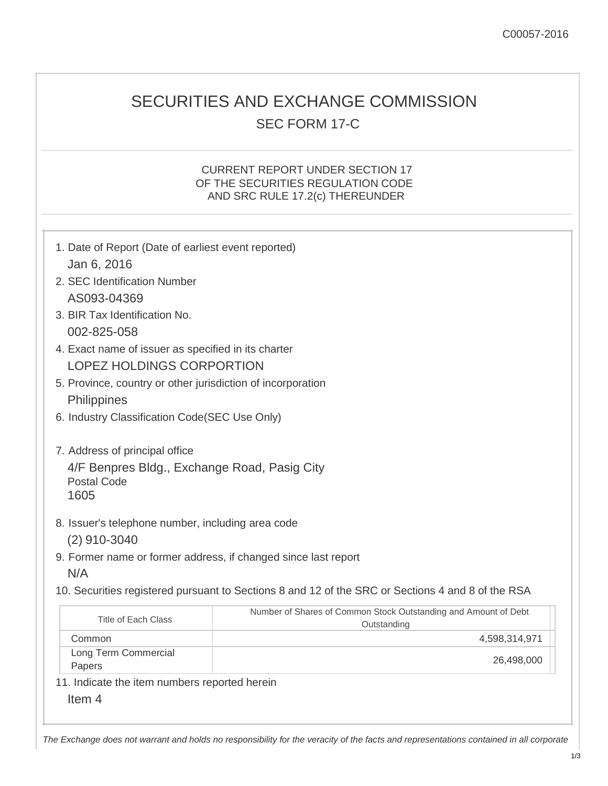## SECURITIES AND EXCHANGE COMMISSION SEC FORM 17-C

## CURRENT REPORT UNDER SECTION 17 OF THE SECURITIES REGULATION CODE AND SRC RULE 17.2(c) THEREUNDER

| 1. Date of Report (Date of earliest event reported)<br>Jan 6, 2016                                           |                                                                                                   |  |  |  |  |  |
|--------------------------------------------------------------------------------------------------------------|---------------------------------------------------------------------------------------------------|--|--|--|--|--|
| 2. SEC Identification Number<br>AS093-04369                                                                  |                                                                                                   |  |  |  |  |  |
| 3. BIR Tax Identification No.<br>002-825-058                                                                 |                                                                                                   |  |  |  |  |  |
| 4. Exact name of issuer as specified in its charter<br><b>LOPEZ HOLDINGS CORPORTION</b>                      |                                                                                                   |  |  |  |  |  |
| 5. Province, country or other jurisdiction of incorporation<br>Philippines                                   |                                                                                                   |  |  |  |  |  |
|                                                                                                              | 6. Industry Classification Code(SEC Use Only)                                                     |  |  |  |  |  |
| 7. Address of principal office<br>4/F Benpres Bldg., Exchange Road, Pasig City<br><b>Postal Code</b><br>1605 |                                                                                                   |  |  |  |  |  |
| 8. Issuer's telephone number, including area code<br>$(2)$ 910-3040                                          |                                                                                                   |  |  |  |  |  |
| 9. Former name or former address, if changed since last report<br>N/A                                        |                                                                                                   |  |  |  |  |  |
|                                                                                                              | 10. Securities registered pursuant to Sections 8 and 12 of the SRC or Sections 4 and 8 of the RSA |  |  |  |  |  |
| <b>Title of Each Class</b>                                                                                   | Number of Shares of Common Stock Outstanding and Amount of Debt<br>Outstanding                    |  |  |  |  |  |
| Common                                                                                                       | 4,598,314,971                                                                                     |  |  |  |  |  |
| Long Term Commercial<br>Papers                                                                               | 26,498,000                                                                                        |  |  |  |  |  |
| 11. Indicate the item numbers reported herein                                                                |                                                                                                   |  |  |  |  |  |
| Item <sub>4</sub>                                                                                            |                                                                                                   |  |  |  |  |  |

*The Exchange does not warrant and holds no responsibility for the veracity of the facts and representations contained in all corporate*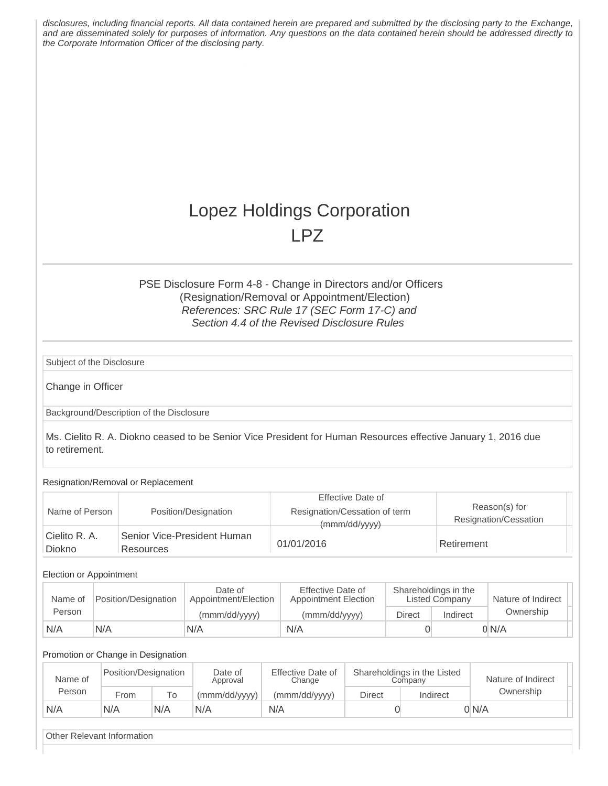|                           |                                                         |                                          | the Corporate Information Officer of the disclosing party. | disclosures, including financial reports. All data contained herein are prepared and submitted by the disclosing party to the Exchange,<br>and are disseminated solely for purposes of information. Any questions on the data contained herein should be addressed directly to |                                               |                                        |       |
|---------------------------|---------------------------------------------------------|------------------------------------------|------------------------------------------------------------|--------------------------------------------------------------------------------------------------------------------------------------------------------------------------------------------------------------------------------------------------------------------------------|-----------------------------------------------|----------------------------------------|-------|
|                           |                                                         |                                          |                                                            | Lopez Holdings Corporation                                                                                                                                                                                                                                                     |                                               |                                        |       |
|                           |                                                         |                                          |                                                            | <b>LPZ</b>                                                                                                                                                                                                                                                                     |                                               |                                        |       |
| Subject of the Disclosure |                                                         |                                          |                                                            | PSE Disclosure Form 4-8 - Change in Directors and/or Officers<br>(Resignation/Removal or Appointment/Election)<br>References: SRC Rule 17 (SEC Form 17-C) and<br>Section 4.4 of the Revised Disclosure Rules                                                                   |                                               |                                        |       |
| Change in Officer         |                                                         |                                          |                                                            |                                                                                                                                                                                                                                                                                |                                               |                                        |       |
|                           |                                                         | Background/Description of the Disclosure |                                                            |                                                                                                                                                                                                                                                                                |                                               |                                        |       |
| to retirement.            |                                                         | Resignation/Removal or Replacement       |                                                            | Ms. Cielito R. A. Diokno ceased to be Senior Vice President for Human Resources effective January 1, 2016 due                                                                                                                                                                  |                                               |                                        |       |
|                           |                                                         |                                          |                                                            | <b>Effective Date of</b>                                                                                                                                                                                                                                                       |                                               |                                        |       |
| Name of Person            |                                                         |                                          | Position/Designation                                       | Resignation/Cessation of term<br>(mmm/dd/yyyy)                                                                                                                                                                                                                                 |                                               | Reason(s) for<br>Resignation/Cessation |       |
| Cielito R. A.<br>Diokno   |                                                         | Resources                                | Senior Vice-President Human                                | 01/01/2016                                                                                                                                                                                                                                                                     |                                               | Retirement                             |       |
| Election or Appointment   |                                                         |                                          |                                                            |                                                                                                                                                                                                                                                                                |                                               |                                        |       |
| Name of<br>Person         | Date of<br>Position/Designation<br>Appointment/Election |                                          | <b>Effective Date of</b><br><b>Appointment Election</b>    |                                                                                                                                                                                                                                                                                | Shareholdings in the<br><b>Listed Company</b> | Nature of Indirect<br>Ownership        |       |
| N/A                       | N/A                                                     |                                          | (mmm/dd/yyyy)<br>N/A                                       | (mmm/dd/yyyy)<br>N/A                                                                                                                                                                                                                                                           | <b>Direct</b><br>$\overline{0}$               | Indirect                               | 0 N/A |

## Promotion or Change in Designation

| Name of | Position/Designation |     | Date of<br>Approval | Effective Date of<br>Change | Shareholdings in the Listed<br>Companv |          | Nature of Indirect |
|---------|----------------------|-----|---------------------|-----------------------------|----------------------------------------|----------|--------------------|
| Person  | From                 | Τо  | (mmm/dd/yyyy)       | (mmm/dd/yyyy)               | Direct                                 | Indirect | Ownership          |
| N/A     | N/A                  | N/A | N/A                 | N/A                         |                                        |          | 0 N/A              |

Other Relevant Information